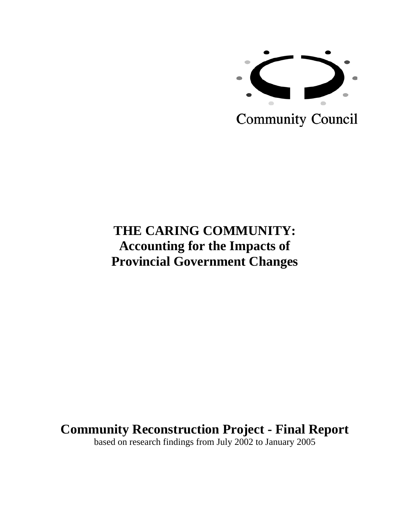

# **THE CARING COMMUNITY: Accounting for the Impacts of Provincial Government Changes**

**Community Reconstruction Project - Final Report**  based on research findings from July 2002 to January 2005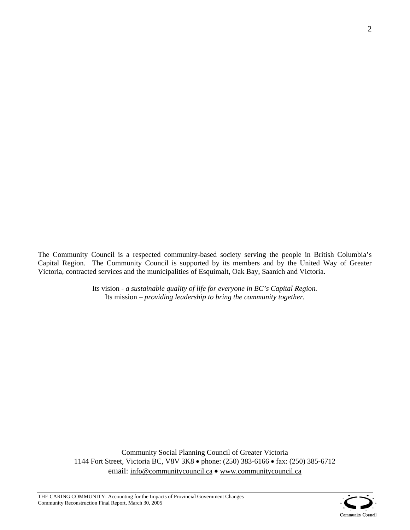The Community Council is a respected community-based society serving the people in British Columbia's Capital Region. The Community Council is supported by its members and by the United Way of Greater Victoria, contracted services and the municipalities of Esquimalt, Oak Bay, Saanich and Victoria.

> Its vision - *a sustainable quality of life for everyone in BC's Capital Region.* Its mission – *providing leadership to bring the community together.*

Community Social Planning Council of Greater Victoria 1144 Fort Street, Victoria BC, V8V 3K8 • phone: (250) 383-6166 • fax: (250) 385-6712 email: info@communitycouncil.ca • www.communitycouncil.ca

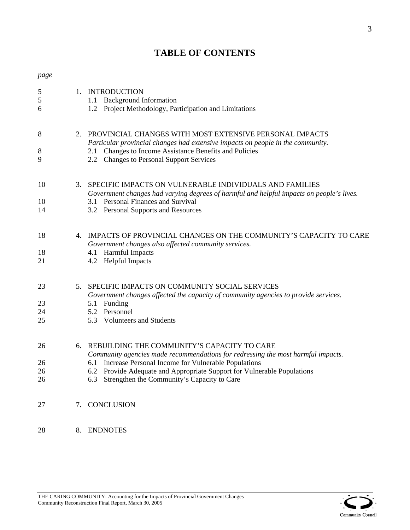28

8. ENDNOTES

# **TABLE OF CONTENTS**

| page |    |                                                                                                                                               |
|------|----|-----------------------------------------------------------------------------------------------------------------------------------------------|
| 5    |    | 1. INTRODUCTION                                                                                                                               |
| 5    |    | <b>Background Information</b><br>1.1                                                                                                          |
| 6    |    | Project Methodology, Participation and Limitations<br>1.2                                                                                     |
| 8    |    | 2. PROVINCIAL CHANGES WITH MOST EXTENSIVE PERSONAL IMPACTS<br>Particular provincial changes had extensive impacts on people in the community. |
| 8    |    | Changes to Income Assistance Benefits and Policies<br>2.1                                                                                     |
| 9    |    | <b>Changes to Personal Support Services</b><br>2.2                                                                                            |
| 10   | 3. | SPECIFIC IMPACTS ON VULNERABLE INDIVIDUALS AND FAMILIES                                                                                       |
|      |    | Government changes had varying degrees of harmful and helpful impacts on people's lives.                                                      |
| 10   |    | 3.1 Personal Finances and Survival                                                                                                            |
| 14   |    | 3.2 Personal Supports and Resources                                                                                                           |
| 18   | 4. | IMPACTS OF PROVINCIAL CHANGES ON THE COMMUNITY'S CAPACITY TO CARE<br>Government changes also affected community services.                     |
| 18   |    | <b>Harmful Impacts</b><br>4.1                                                                                                                 |
| 21   |    | <b>Helpful Impacts</b><br>4.2                                                                                                                 |
| 23   | 5. | SPECIFIC IMPACTS ON COMMUNITY SOCIAL SERVICES<br>Government changes affected the capacity of community agencies to provide services.          |
| 23   |    | Funding<br>5.1                                                                                                                                |
| 24   |    | 5.2 Personnel                                                                                                                                 |
| 25   |    | <b>Volunteers and Students</b><br>5.3                                                                                                         |
| 26   | 6. | REBUILDING THE COMMUNITY'S CAPACITY TO CARE<br>Community agencies made recommendations for redressing the most harmful impacts.               |
| 26   |    | Increase Personal Income for Vulnerable Populations<br>6.1                                                                                    |
| 26   |    | 6.2 Provide Adequate and Appropriate Support for Vulnerable Populations                                                                       |
| 26   |    | 6.3 Strengthen the Community's Capacity to Care                                                                                               |
| 27   | 7. | CONCLUSION                                                                                                                                    |
|      |    |                                                                                                                                               |

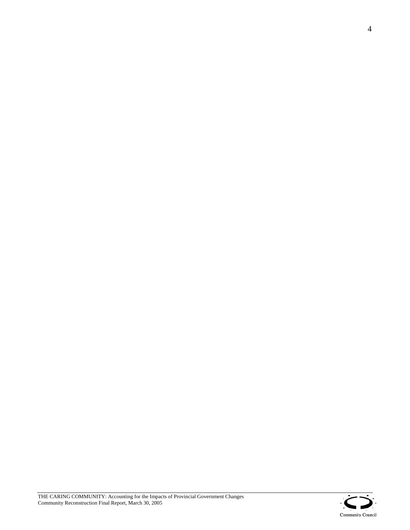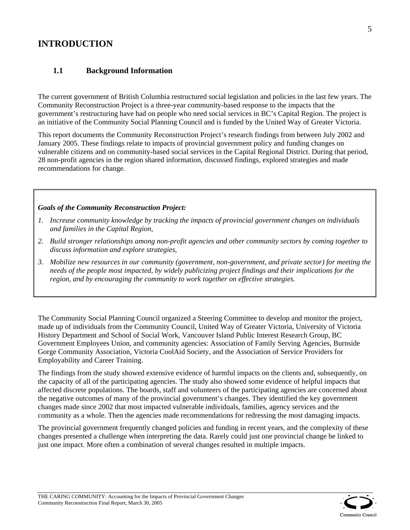# **INTRODUCTION**

### **1.1 Background Information**

The current government of British Columbia restructured social legislation and policies in the last few years. The Community Reconstruction Project is a three-year community-based response to the impacts that the government's restructuring have had on people who need social services in BC's Capital Region. The project is an initiative of the Community Social Planning Council and is funded by the United Way of Greater Victoria.

This report documents the Community Reconstruction Project's research findings from between July 2002 and January 2005. These findings relate to impacts of provincial government policy and funding changes on vulnerable citizens and on community-based social services in the Capital Regional District. During that period, 28 non-profit agencies in the region shared information, discussed findings, explored strategies and made recommendations for change.

#### *Goals of the Community Reconstruction Project:*

- *1. Increase community knowledge by tracking the impacts of provincial government changes on individuals and families in the Capital Region,*
- *2. Build stronger relationships among non-profit agencies and other community sectors by coming together to discuss information and explore strategies,*
- *3. Mobilize new resources in our community (government, non-government, and private sector) for meeting the needs of the people most impacted, by widely publicizing project findings and their implications for the region, and by encouraging the community to work together on effective strategies.*

The Community Social Planning Council organized a Steering Committee to develop and monitor the project, made up of individuals from the Community Council, United Way of Greater Victoria, University of Victoria History Department and School of Social Work, Vancouver Island Public Interest Research Group, BC Government Employees Union, and community agencies: Association of Family Serving Agencies, Burnside Gorge Community Association, Victoria CoolAid Society, and the Association of Service Providers for Employability and Career Training.

The findings from the study showed extensive evidence of harmful impacts on the clients and, subsequently, on the capacity of all of the participating agencies. The study also showed some evidence of helpful impacts that affected discrete populations. The boards, staff and volunteers of the participating agencies are concerned about the negative outcomes of many of the provincial government's changes. They identified the key government changes made since 2002 that most impacted vulnerable individuals, families, agency services and the community as a whole. Then the agencies made recommendations for redressing the most damaging impacts.

The provincial government frequently changed policies and funding in recent years, and the complexity of these changes presented a challenge when interpreting the data. Rarely could just one provincial change be linked to just one impact. More often a combination of several changes resulted in multiple impacts.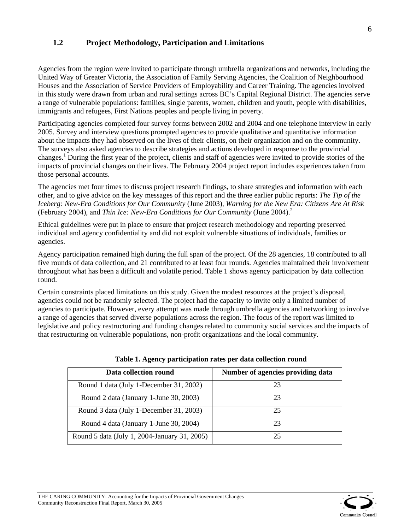# **1.2 Project Methodology, Participation and Limitations**

Agencies from the region were invited to participate through umbrella organizations and networks, including the United Way of Greater Victoria, the Association of Family Serving Agencies, the Coalition of Neighbourhood Houses and the Association of Service Providers of Employability and Career Training. The agencies involved in this study were drawn from urban and rural settings across BC's Capital Regional District. The agencies serve a range of vulnerable populations: families, single parents, women, children and youth, people with disabilities, immigrants and refugees, First Nations peoples and people living in poverty.

Participating agencies completed four survey forms between 2002 and 2004 and one telephone interview in early 2005. Survey and interview questions prompted agencies to provide qualitative and quantitative information about the impacts they had observed on the lives of their clients, on their organization and on the community. The surveys also asked agencies to describe strategies and actions developed in response to the provincial changes.<sup>1</sup> During the first year of the project, clients and staff of agencies were invited to provide stories of the impacts of provincial changes on their lives. The February 2004 project report includes experiences taken from those personal accounts.

The agencies met four times to discuss project research findings, to share strategies and information with each other, and to give advice on the key messages of this report and the three earlier public reports: *The Tip of the Iceberg: New-Era Conditions for Our Community* (June 2003), *Warning for the New Era: Citizens Are At Risk* (February 2004), and *Thin Ice: New-Era Conditions for Our Community* (June 2004).2

Ethical guidelines were put in place to ensure that project research methodology and reporting preserved individual and agency confidentiality and did not exploit vulnerable situations of individuals, families or agencies.

Agency participation remained high during the full span of the project. Of the 28 agencies, 18 contributed to all five rounds of data collection, and 21 contributed to at least four rounds. Agencies maintained their involvement throughout what has been a difficult and volatile period. Table 1 shows agency participation by data collection round.

Certain constraints placed limitations on this study. Given the modest resources at the project's disposal, agencies could not be randomly selected. The project had the capacity to invite only a limited number of agencies to participate. However, every attempt was made through umbrella agencies and networking to involve a range of agencies that served diverse populations across the region. The focus of the report was limited to legislative and policy restructuring and funding changes related to community social services and the impacts of that restructuring on vulnerable populations, non-profit organizations and the local community.

| Data collection round                        | Number of agencies providing data |
|----------------------------------------------|-----------------------------------|
| Round 1 data (July 1-December 31, 2002)      | 23                                |
| Round 2 data (January 1-June 30, 2003)       | 23                                |
| Round 3 data (July 1-December 31, 2003)      | 25                                |
| Round 4 data (January 1-June 30, 2004)       | 23                                |
| Round 5 data (July 1, 2004-January 31, 2005) |                                   |

#### **Table 1. Agency participation rates per data collection round**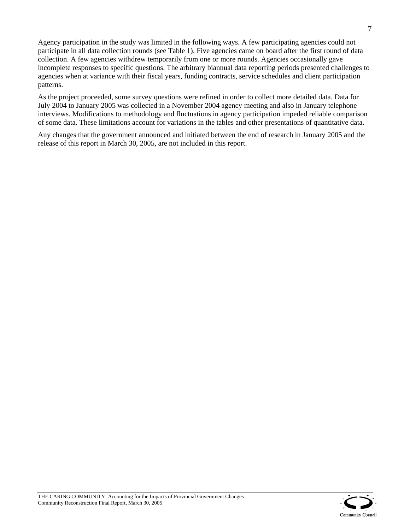Agency participation in the study was limited in the following ways. A few participating agencies could not participate in all data collection rounds (see Table 1). Five agencies came on board after the first round of data collection. A few agencies withdrew temporarily from one or more rounds. Agencies occasionally gave incomplete responses to specific questions. The arbitrary biannual data reporting periods presented challenges to agencies when at variance with their fiscal years, funding contracts, service schedules and client participation patterns.

As the project proceeded, some survey questions were refined in order to collect more detailed data. Data for July 2004 to January 2005 was collected in a November 2004 agency meeting and also in January telephone interviews. Modifications to methodology and fluctuations in agency participation impeded reliable comparison of some data. These limitations account for variations in the tables and other presentations of quantitative data.

Any changes that the government announced and initiated between the end of research in January 2005 and the release of this report in March 30, 2005, are not included in this report.

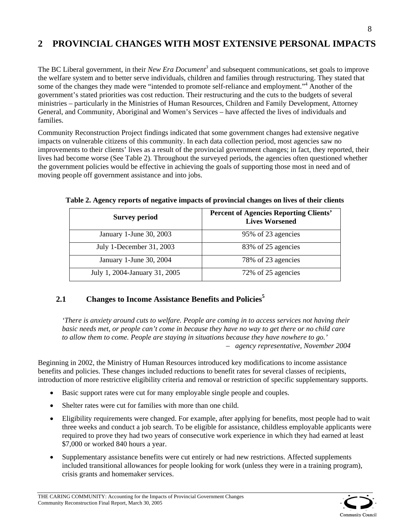# **2 PROVINCIAL CHANGES WITH MOST EXTENSIVE PERSONAL IMPACTS**

The BC Liberal government, in their *New Era Document*<sup>3</sup> and subsequent communications, set goals to improve the welfare system and to better serve individuals, children and families through restructuring. They stated that some of the changes they made were "intended to promote self-reliance and employment."<sup>4</sup> Another of the government's stated priorities was cost reduction. Their restructuring and the cuts to the budgets of several ministries – particularly in the Ministries of Human Resources, Children and Family Development, Attorney General, and Community, Aboriginal and Women's Services – have affected the lives of individuals and families.

Community Reconstruction Project findings indicated that some government changes had extensive negative impacts on vulnerable citizens of this community. In each data collection period, most agencies saw no improvements to their clients' lives as a result of the provincial government changes; in fact, they reported, their lives had become worse (See Table 2). Throughout the surveyed periods, the agencies often questioned whether the government policies would be effective in achieving the goals of supporting those most in need and of moving people off government assistance and into jobs.

| <b>Survey period</b>          | <b>Percent of Agencies Reporting Clients'</b><br><b>Lives Worsened</b> |  |
|-------------------------------|------------------------------------------------------------------------|--|
| January 1-June 30, 2003       | 95% of 23 agencies                                                     |  |
| July 1-December 31, 2003      | 83% of 25 agencies                                                     |  |
| January 1-June 30, 2004       | 78% of 23 agencies                                                     |  |
| July 1, 2004-January 31, 2005 | 72% of 25 agencies                                                     |  |

**Table 2. Agency reports of negative impacts of provincial changes on lives of their clients** 

# **2.1 Changes to Income Assistance Benefits and Policies5**

*'There is anxiety around cuts to welfare. People are coming in to access services not having their basic needs met, or people can't come in because they have no way to get there or no child care to allow them to come. People are staying in situations because they have nowhere to go.' – agency representative, November 2004* 

Beginning in 2002, the Ministry of Human Resources introduced key modifications to income assistance benefits and policies. These changes included reductions to benefit rates for several classes of recipients, introduction of more restrictive eligibility criteria and removal or restriction of specific supplementary supports.

- Basic support rates were cut for many employable single people and couples.
- Shelter rates were cut for families with more than one child.
- Eligibility requirements were changed. For example, after applying for benefits, most people had to wait three weeks and conduct a job search. To be eligible for assistance, childless employable applicants were required to prove they had two years of consecutive work experience in which they had earned at least \$7,000 or worked 840 hours a year.
- Supplementary assistance benefits were cut entirely or had new restrictions. Affected supplements included transitional allowances for people looking for work (unless they were in a training program), crisis grants and homemaker services.

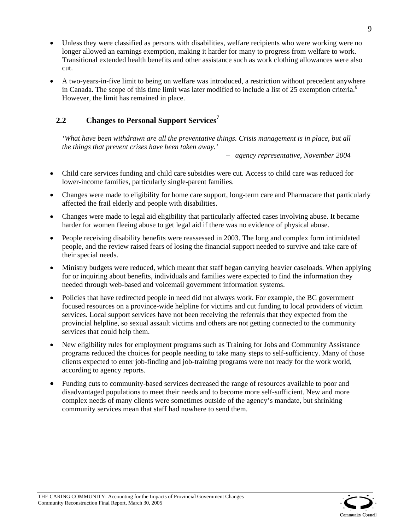- Unless they were classified as persons with disabilities, welfare recipients who were working were no longer allowed an earnings exemption, making it harder for many to progress from welfare to work. Transitional extended health benefits and other assistance such as work clothing allowances were also cut.
- A two-years-in-five limit to being on welfare was introduced, a restriction without precedent anywhere in Canada. The scope of this time limit was later modified to include a list of 25 exemption criteria.<sup>6</sup> However, the limit has remained in place.

# **2.2 Changes to Personal Support Services7**

*'What have been withdrawn are all the preventative things. Crisis management is in place, but all the things that prevent crises have been taken away.'* 

*– agency representative, November 2004* 

- Child care services funding and child care subsidies were cut. Access to child care was reduced for lower-income families, particularly single-parent families.
- Changes were made to eligibility for home care support, long-term care and Pharmacare that particularly affected the frail elderly and people with disabilities.
- Changes were made to legal aid eligibility that particularly affected cases involving abuse. It became harder for women fleeing abuse to get legal aid if there was no evidence of physical abuse.
- People receiving disability benefits were reassessed in 2003. The long and complex form intimidated people, and the review raised fears of losing the financial support needed to survive and take care of their special needs.
- Ministry budgets were reduced, which meant that staff began carrying heavier caseloads. When applying for or inquiring about benefits, individuals and families were expected to find the information they needed through web-based and voicemail government information systems.
- Policies that have redirected people in need did not always work. For example, the BC government focused resources on a province-wide helpline for victims and cut funding to local providers of victim services. Local support services have not been receiving the referrals that they expected from the provincial helpline, so sexual assault victims and others are not getting connected to the community services that could help them.
- New eligibility rules for employment programs such as Training for Jobs and Community Assistance programs reduced the choices for people needing to take many steps to self-sufficiency. Many of those clients expected to enter job-finding and job-training programs were not ready for the work world, according to agency reports.
- Funding cuts to community-based services decreased the range of resources available to poor and disadvantaged populations to meet their needs and to become more self-sufficient. New and more complex needs of many clients were sometimes outside of the agency's mandate, but shrinking community services mean that staff had nowhere to send them.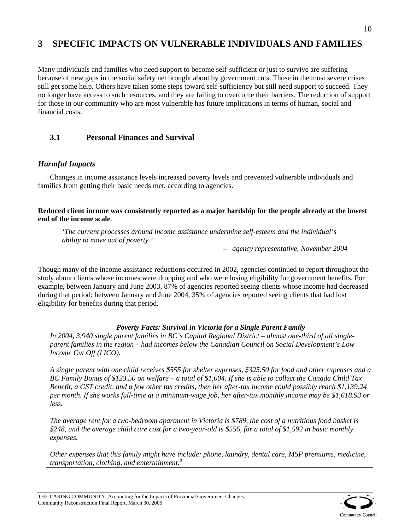# **3 SPECIFIC IMPACTS ON VULNERABLE INDIVIDUALS AND FAMILIES**

Many individuals and families who need support to become self-sufficient or just to survive are suffering because of new gaps in the social safety net brought about by government cuts. Those in the most severe crises still get some help. Others have taken some steps toward self-sufficiency but still need support to succeed. They no longer have access to such resources, and they are failing to overcome their barriers. The reduction of support for those in our community who are most vulnerable has future implications in terms of human, social and financial costs.

### **3.1 Personal Finances and Survival**

#### *Harmful Impacts*

Changes in income assistance levels increased poverty levels and prevented vulnerable individuals and families from getting their basic needs met, according to agencies.

#### **Reduced client income was consistently reported as a major hardship for the people already at the lowest end of the income scale**.

*'The current processes around income assistance undermine self-esteem and the individual's ability to move out of poverty.'* 

 *– agency representative, November 2004* 

Though many of the income assistance reductions occurred in 2002, agencies continued to report throughout the study about clients whose incomes were dropping and who were losing eligibility for government benefits. For example, between January and June 2003, 87% of agencies reported seeing clients whose income had decreased during that period; between January and June 2004, 35% of agencies reported seeing clients that had lost eligibility for benefits during that period.

#### *Poverty Facts: Survival in Victoria for a Single Parent Family*

*In 2004, 3,940 single parent families in BC's Capital Regional District – almost one-third of all singleparent families in the region – had incomes below the Canadian Council on Social Development's Low Income Cut Off (LICO).* 

*A single parent with one child receives \$555 for shelter expenses, \$325.50 for food and other expenses and a BC Family Bonus of \$123.50 on welfare – a total of \$1,004. If she is able to collect the Canada Child Tax Benefit, a GST credit, and a few other tax credits, then her after-tax income could possibly reach \$1,139.24 per month. If she works full-time at a minimum-wage job, her after-tax monthly income may be \$1,618.93 or less.* 

*The average rent for a two-bedroom apartment in Victoria is \$789, the cost of a nutritious food basket is \$248, and the average child care cost for a two-year-old is \$556, for a total of \$1,592 in basic monthly expenses.* 

*Other expenses that this family might have include: phone, laundry, dental care, MSP premiums, medicine, transportation, clothing, and entertainment.8* 

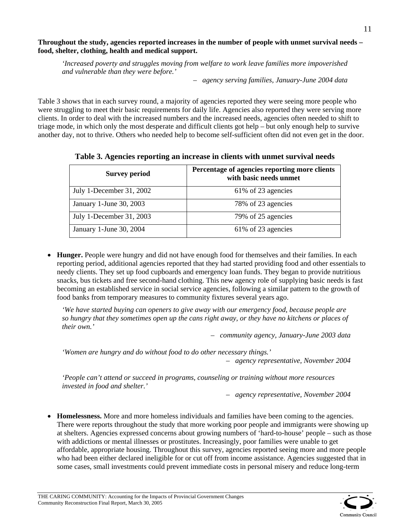#### **Throughout the study, agencies reported increases in the number of people with unmet survival needs – food, shelter, clothing, health and medical support.**

*'Increased poverty and struggles moving from welfare to work leave families more impoverished and vulnerable than they were before.'* 

*– agency serving families, January-June 2004 data* 

Table 3 shows that in each survey round, a majority of agencies reported they were seeing more people who were struggling to meet their basic requirements for daily life. Agencies also reported they were serving more clients. In order to deal with the increased numbers and the increased needs, agencies often needed to shift to triage mode, in which only the most desperate and difficult clients got help – but only enough help to survive another day, not to thrive. Others who needed help to become self-sufficient often did not even get in the door.

**Table 3. Agencies reporting an increase in clients with unmet survival needs** 

| <b>Survey period</b>     | Percentage of agencies reporting more clients<br>with basic needs unmet |
|--------------------------|-------------------------------------------------------------------------|
| July 1-December 31, 2002 | 61% of 23 agencies                                                      |
| January 1-June 30, 2003  | 78% of 23 agencies                                                      |
| July 1-December 31, 2003 | 79% of 25 agencies                                                      |
| January 1-June 30, 2004  | 61% of 23 agencies                                                      |

• **Hunger.** People were hungry and did not have enough food for themselves and their families. In each reporting period, additional agencies reported that they had started providing food and other essentials to needy clients. They set up food cupboards and emergency loan funds. They began to provide nutritious snacks, bus tickets and free second-hand clothing. This new agency role of supplying basic needs is fast becoming an established service in social service agencies, following a similar pattern to the growth of food banks from temporary measures to community fixtures several years ago.

*'We have started buying can openers to give away with our emergency food, because people are so hungry that they sometimes open up the cans right away, or they have no kitchens or places of their own.'* 

 *– community agency, January-June 2003 data* 

*'Women are hungry and do without food to do other necessary things.'* 

 *– agency representative, November 2004* 

*'People can't attend or succeed in programs, counseling or training without more resources invested in food and shelter.'* 

 *– agency representative, November 2004* 

• **Homelessness.** More and more homeless individuals and families have been coming to the agencies. There were reports throughout the study that more working poor people and immigrants were showing up at shelters. Agencies expressed concerns about growing numbers of 'hard-to-house' people – such as those with addictions or mental illnesses or prostitutes. Increasingly, poor families were unable to get affordable, appropriate housing. Throughout this survey, agencies reported seeing more and more people who had been either declared ineligible for or cut off from income assistance. Agencies suggested that in some cases, small investments could prevent immediate costs in personal misery and reduce long-term

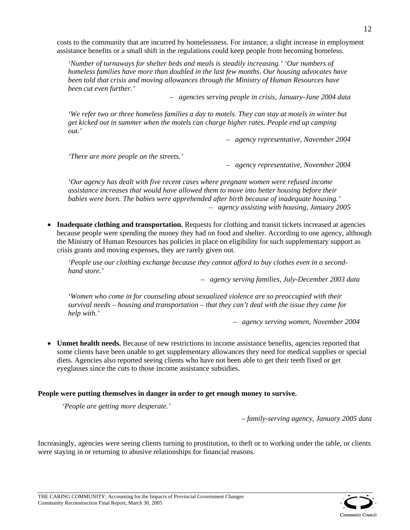costs to the community that are incurred by homelessness. For instance, a slight increase in employment assistance benefits or a small shift in the regulations could keep people from becoming homeless.

*'Number of turnaways for shelter beds and meals is steadily increasing.' 'Our numbers of homeless families have more than doubled in the last few months. Our housing advocates have been told that crisis and moving allowances through the Ministry of Human Resources have been cut even further.'* 

*– agencies serving people in crisis, January-June 2004 data* 

*'We refer two or three homeless families a day to motels. They can stay at motels in winter but get kicked out in summer when the motels can charge higher rates. People end up camping out.'* 

 *– agency representative, November 2004* 

*'There are more people on the streets.'* 

*– agency representative, November 2004* 

*'Our agency has dealt with five recent cases where pregnant women were refused income assistance increases that would have allowed them to move into better housing before their babies were born. The babies were apprehended after birth because of inadequate housing.' – agency assisting with housing, January 2005* 

• **Inadequate clothing and transportation.** Requests for clothing and transit tickets increased at agencies because people were spending the money they had on food and shelter. According to one agency, although the Ministry of Human Resources has policies in place on eligibility for such supplementary support as crisis grants and moving expenses, they are rarely given out*.*

*'People use our clothing exchange because they cannot afford to buy clothes even in a secondhand store.'* 

*– agency serving families, July-December 2003 data* 

*'Women who come in for counseling about sexualized violence are so preoccupied with their survival needs – housing and transportation – that they can't deal with the issue they came for help with.'* 

*– agency serving women, November 2004* 

• **Unmet health needs.** Because of new restrictions to income assistance benefits, agencies reported that some clients have been unable to get supplementary allowances they need for medical supplies or special diets. Agencies also reported seeing clients who have not been able to get their teeth fixed or get eyeglasses since the cuts to those income assistance subsidies.

#### **People were putting themselves in danger in order to get enough money to survive.**

*'People are getting more desperate.'* 

 *– family-serving agency, January 2005 data*

Increasingly, agencies were seeing clients turning to prostitution, to theft or to working under the table, or clients were staying in or returning to abusive relationships for financial reasons.

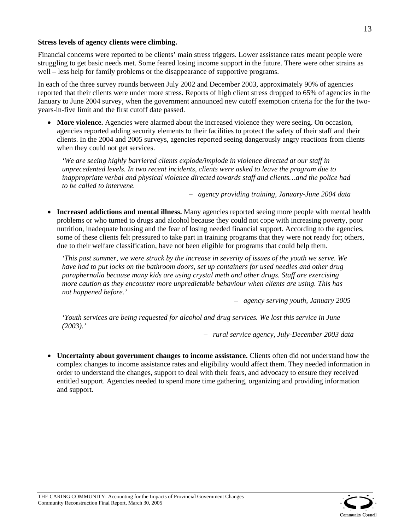#### **Stress levels of agency clients were climbing.**

Financial concerns were reported to be clients' main stress triggers. Lower assistance rates meant people were struggling to get basic needs met. Some feared losing income support in the future. There were other strains as well – less help for family problems or the disappearance of supportive programs.

In each of the three survey rounds between July 2002 and December 2003, approximately 90% of agencies reported that their clients were under more stress. Reports of high client stress dropped to 65% of agencies in the January to June 2004 survey, when the government announced new cutoff exemption criteria for the for the twoyears-in-five limit and the first cutoff date passed.

• **More violence.** Agencies were alarmed about the increased violence they were seeing. On occasion, agencies reported adding security elements to their facilities to protect the safety of their staff and their clients. In the 2004 and 2005 surveys, agencies reported seeing dangerously angry reactions from clients when they could not get services.

*'We are seeing highly barriered clients explode/implode in violence directed at our staff in unprecedented levels. In two recent incidents, clients were asked to leave the program due to inappropriate verbal and physical violence directed towards staff and clients…and the police had to be called to intervene.* 

 *– agency providing training, January-June 2004 data* 

• **Increased addictions and mental illness.** Many agencies reported seeing more people with mental health problems or who turned to drugs and alcohol because they could not cope with increasing poverty, poor nutrition, inadequate housing and the fear of losing needed financial support. According to the agencies, some of these clients felt pressured to take part in training programs that they were not ready for; others, due to their welfare classification, have not been eligible for programs that could help them.

*'This past summer, we were struck by the increase in severity of issues of the youth we serve. We have had to put locks on the bathroom doors, set up containers for used needles and other drug paraphernalia because many kids are using crystal meth and other drugs. Staff are exercising more caution as they encounter more unpredictable behaviour when clients are using. This has not happened before.'* 

 *– agency serving youth, January 2005* 

*'Youth services are being requested for alcohol and drug services. We lost this service in June (2003).'* 

*– rural service agency, July-December 2003 data* 

• **Uncertainty about government changes to income assistance.** Clients often did not understand how the complex changes to income assistance rates and eligibility would affect them. They needed information in order to understand the changes, support to deal with their fears, and advocacy to ensure they received entitled support. Agencies needed to spend more time gathering, organizing and providing information and support.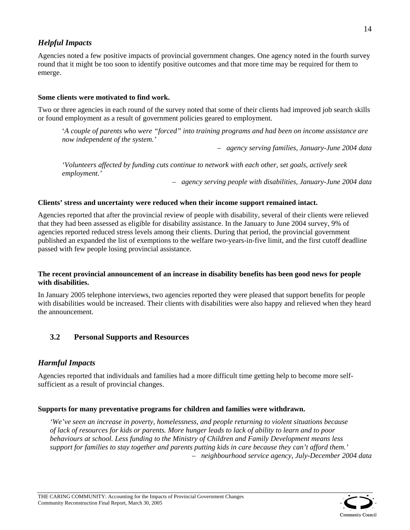# *Helpful Impacts*

Agencies noted a few positive impacts of provincial government changes. One agency noted in the fourth survey round that it might be too soon to identify positive outcomes and that more time may be required for them to emerge.

#### **Some clients were motivated to find work.**

Two or three agencies in each round of the survey noted that some of their clients had improved job search skills or found employment as a result of government policies geared to employment.

'*A couple of parents who were "forced" into training programs and had been on income assistance are now independent of the system.'* 

*– agency serving families, January-June 2004 data* 

*'Volunteers affected by funding cuts continue to network with each other, set goals, actively seek employment.'* 

 *– agency serving people with disabilities, January-June 2004 data* 

#### **Clients' stress and uncertainty were reduced when their income support remained intact.**

Agencies reported that after the provincial review of people with disability, several of their clients were relieved that they had been assessed as eligible for disability assistance. In the January to June 2004 survey, 9% of agencies reported reduced stress levels among their clients. During that period, the provincial government published an expanded the list of exemptions to the welfare two-years-in-five limit, and the first cutoff deadline passed with few people losing provincial assistance.

#### **The recent provincial announcement of an increase in disability benefits has been good news for people with disabilities.**

In January 2005 telephone interviews, two agencies reported they were pleased that support benefits for people with disabilities would be increased. Their clients with disabilities were also happy and relieved when they heard the announcement.

# **3.2 Personal Supports and Resources**

# *Harmful Impacts*

Agencies reported that individuals and families had a more difficult time getting help to become more selfsufficient as a result of provincial changes.

#### **Supports for many preventative programs for children and families were withdrawn.**

*'We've seen an increase in poverty, homelessness, and people returning to violent situations because of lack of resources for kids or parents. More hunger leads to lack of ability to learn and to poor behaviours at school. Less funding to the Ministry of Children and Family Development means less support for families to stay together and parents putting kids in care because they can't afford them.' – neighbourhood service agency, July-December 2004 data*

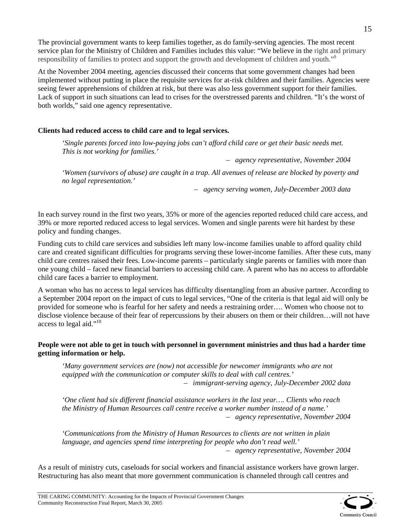The provincial government wants to keep families together, as do family-serving agencies. The most recent service plan for the Ministry of Children and Families includes this value: "We believe in the right and primary responsibility of families to protect and support the growth and development of children and youth."<sup>9</sup>

At the November 2004 meeting, agencies discussed their concerns that some government changes had been implemented without putting in place the requisite services for at-risk children and their families. Agencies were seeing fewer apprehensions of children at risk, but there was also less government support for their families. Lack of support in such situations can lead to crises for the overstressed parents and children. "It's the worst of both worlds," said one agency representative.

#### **Clients had reduced access to child care and to legal services.**

*'Single parents forced into low-paying jobs can't afford child care or get their basic needs met. This is not working for families.'* 

*– agency representative, November 2004* 

*'Women (survivors of abuse) are caught in a trap. All avenues of release are blocked by poverty and no legal representation.'* 

*– agency serving women, July-December 2003 data* 

In each survey round in the first two years, 35% or more of the agencies reported reduced child care access, and 39% or more reported reduced access to legal services. Women and single parents were hit hardest by these policy and funding changes.

Funding cuts to child care services and subsidies left many low-income families unable to afford quality child care and created significant difficulties for programs serving these lower-income families. After these cuts, many child care centres raised their fees. Low-income parents – particularly single parents or families with more than one young child – faced new financial barriers to accessing child care. A parent who has no access to affordable child care faces a barrier to employment.

A woman who has no access to legal services has difficulty disentangling from an abusive partner. According to a September 2004 report on the impact of cuts to legal services, "One of the criteria is that legal aid will only be provided for someone who is fearful for her safety and needs a restraining order…. Women who choose not to disclose violence because of their fear of repercussions by their abusers on them or their children…will not have access to legal aid."<sup>10</sup>

#### **People were not able to get in touch with personnel in government ministries and thus had a harder time getting information or help.**

*'Many government services are (now) not accessible for newcomer immigrants who are not equipped with the communication or computer skills to deal with call centres.' – immigrant-serving agency, July-December 2002 data* 

*'One client had six different financial assistance workers in the last year…. Clients who reach the Ministry of Human Resources call centre receive a worker number instead of a name.' – agency representative, November 2004* 

*'Communications from the Ministry of Human Resources to clients are not written in plain language, and agencies spend time interpreting for people who don't read well.' – agency representative, November 2004* 

As a result of ministry cuts, caseloads for social workers and financial assistance workers have grown larger. Restructuring has also meant that more government communication is channeled through call centres and

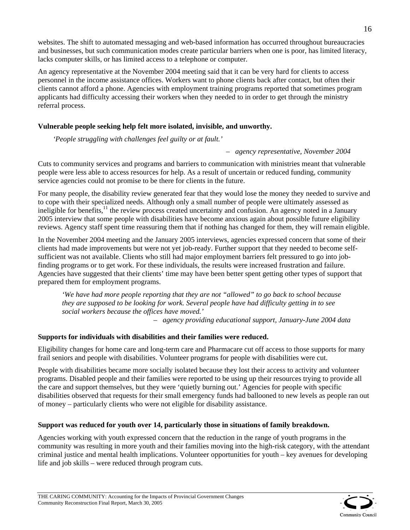websites. The shift to automated messaging and web-based information has occurred throughout bureaucracies and businesses, but such communication modes create particular barriers when one is poor, has limited literacy, lacks computer skills, or has limited access to a telephone or computer.

An agency representative at the November 2004 meeting said that it can be very hard for clients to access personnel in the income assistance offices. Workers want to phone clients back after contact, but often their clients cannot afford a phone. Agencies with employment training programs reported that sometimes program applicants had difficulty accessing their workers when they needed to in order to get through the ministry referral process.

#### **Vulnerable people seeking help felt more isolated, invisible, and unworthy.**

*'People struggling with challenges feel guilty or at fault.'* 

#### *– agency representative, November 2004*

Cuts to community services and programs and barriers to communication with ministries meant that vulnerable people were less able to access resources for help. As a result of uncertain or reduced funding, community service agencies could not promise to be there for clients in the future.

For many people, the disability review generated fear that they would lose the money they needed to survive and to cope with their specialized needs. Although only a small number of people were ultimately assessed as ineligible for benefits,<sup>11</sup> the review process created uncertainty and confusion. An agency noted in a January 2005 interview that some people with disabilities have become anxious again about possible future eligibility reviews. Agency staff spent time reassuring them that if nothing has changed for them, they will remain eligible.

In the November 2004 meeting and the January 2005 interviews, agencies expressed concern that some of their clients had made improvements but were not yet job-ready. Further support that they needed to become selfsufficient was not available. Clients who still had major employment barriers felt pressured to go into jobfinding programs or to get work. For these individuals, the results were increased frustration and failure. Agencies have suggested that their clients' time may have been better spent getting other types of support that prepared them for employment programs.

*'We have had more people reporting that they are not "allowed" to go back to school because they are supposed to be looking for work. Several people have had difficulty getting in to see social workers because the offices have moved.'* 

 *– agency providing educational support, January-June 2004 data* 

# **Supports for individuals with disabilities and their families were reduced.**

Eligibility changes for home care and long-term care and Pharmacare cut off access to those supports for many frail seniors and people with disabilities. Volunteer programs for people with disabilities were cut.

People with disabilities became more socially isolated because they lost their access to activity and volunteer programs. Disabled people and their families were reported to be using up their resources trying to provide all the care and support themselves, but they were 'quietly burning out.' Agencies for people with specific disabilities observed that requests for their small emergency funds had ballooned to new levels as people ran out of money – particularly clients who were not eligible for disability assistance.

# **Support was reduced for youth over 14, particularly those in situations of family breakdown.**

Agencies working with youth expressed concern that the reduction in the range of youth programs in the community was resulting in more youth and their families moving into the high-risk category, with the attendant criminal justice and mental health implications. Volunteer opportunities for youth – key avenues for developing life and job skills – were reduced through program cuts.

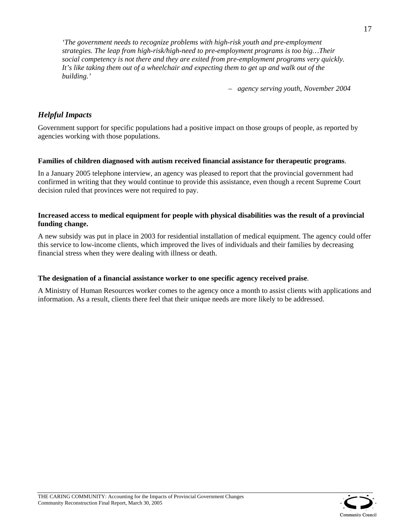*'The government needs to recognize problems with high-risk youth and pre-employment strategies. The leap from high-risk/high-need to pre-employment programs is too big…Their social competency is not there and they are exited from pre-employment programs very quickly. It's like taking them out of a wheelchair and expecting them to get up and walk out of the building.'* 

*– agency serving youth, November 2004*

### *Helpful Impacts*

Government support for specific populations had a positive impact on those groups of people, as reported by agencies working with those populations.

#### **Families of children diagnosed with autism received financial assistance for therapeutic programs**.

In a January 2005 telephone interview, an agency was pleased to report that the provincial government had confirmed in writing that they would continue to provide this assistance, even though a recent Supreme Court decision ruled that provinces were not required to pay.

#### **Increased access to medical equipment for people with physical disabilities was the result of a provincial funding change.**

A new subsidy was put in place in 2003 for residential installation of medical equipment. The agency could offer this service to low-income clients, which improved the lives of individuals and their families by decreasing financial stress when they were dealing with illness or death.

#### **The designation of a financial assistance worker to one specific agency received praise**.

A Ministry of Human Resources worker comes to the agency once a month to assist clients with applications and information. As a result, clients there feel that their unique needs are more likely to be addressed.

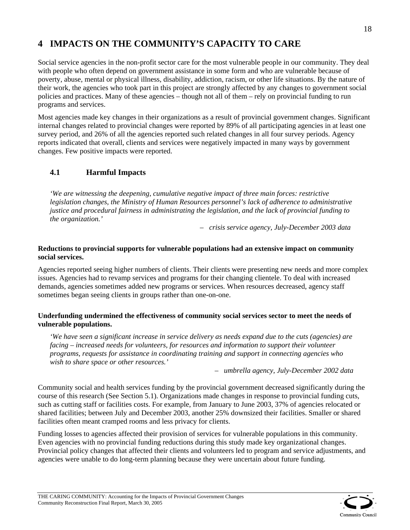# **4 IMPACTS ON THE COMMUNITY'S CAPACITY TO CARE**

Social service agencies in the non-profit sector care for the most vulnerable people in our community. They deal with people who often depend on government assistance in some form and who are vulnerable because of poverty, abuse, mental or physical illness, disability, addiction, racism, or other life situations. By the nature of their work, the agencies who took part in this project are strongly affected by any changes to government social policies and practices. Many of these agencies – though not all of them – rely on provincial funding to run programs and services.

Most agencies made key changes in their organizations as a result of provincial government changes. Significant internal changes related to provincial changes were reported by 89% of all participating agencies in at least one survey period, and 26% of all the agencies reported such related changes in all four survey periods. Agency reports indicated that overall, clients and services were negatively impacted in many ways by government changes. Few positive impacts were reported.

# **4.1 Harmful Impacts**

*'We are witnessing the deepening, cumulative negative impact of three main forces: restrictive legislation changes, the Ministry of Human Resources personnel's lack of adherence to administrative justice and procedural fairness in administrating the legislation, and the lack of provincial funding to the organization.'* 

 *– crisis service agency, July-December 2003 data* 

#### **Reductions to provincial supports for vulnerable populations had an extensive impact on community social services.**

Agencies reported seeing higher numbers of clients. Their clients were presenting new needs and more complex issues. Agencies had to revamp services and programs for their changing clientele. To deal with increased demands, agencies sometimes added new programs or services. When resources decreased, agency staff sometimes began seeing clients in groups rather than one-on-one.

#### **Underfunding undermined the effectiveness of community social services sector to meet the needs of vulnerable populations.**

*'We have seen a significant increase in service delivery as needs expand due to the cuts (agencies) are facing – increased needs for volunteers, for resources and information to support their volunteer programs, requests for assistance in coordinating training and support in connecting agencies who wish to share space or other resources.'* 

– *umbrella agency, July-December 2002 data* 

Community social and health services funding by the provincial government decreased significantly during the course of this research (See Section 5.1). Organizations made changes in response to provincial funding cuts, such as cutting staff or facilities costs. For example, from January to June 2003, 37% of agencies relocated or shared facilities; between July and December 2003, another 25% downsized their facilities. Smaller or shared facilities often meant cramped rooms and less privacy for clients.

Funding losses to agencies affected their provision of services for vulnerable populations in this community. Even agencies with no provincial funding reductions during this study made key organizational changes. Provincial policy changes that affected their clients and volunteers led to program and service adjustments, and agencies were unable to do long-term planning because they were uncertain about future funding.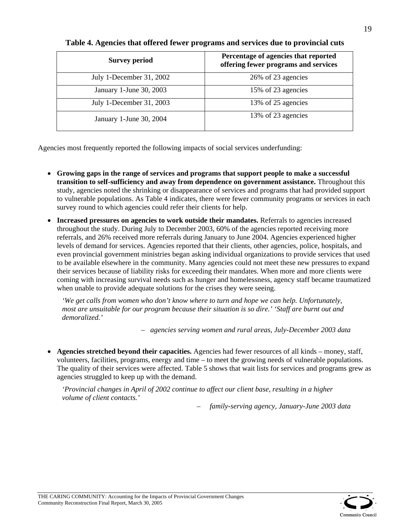| <b>Survey period</b>     | Percentage of agencies that reported<br>offering fewer programs and services |  |
|--------------------------|------------------------------------------------------------------------------|--|
| July 1-December 31, 2002 | 26% of 23 agencies                                                           |  |
| January 1-June 30, 2003  | 15% of 23 agencies                                                           |  |
| July 1-December 31, 2003 | 13% of 25 agencies                                                           |  |
| January 1-June 30, 2004  | 13% of 23 agencies                                                           |  |

**Table 4. Agencies that offered fewer programs and services due to provincial cuts** 

Agencies most frequently reported the following impacts of social services underfunding:

- **Growing gaps in the range of services and programs that support people to make a successful transition to self-sufficiency and away from dependence on government assistance.** Throughout this study, agencies noted the shrinking or disappearance of services and programs that had provided support to vulnerable populations. As Table 4 indicates, there were fewer community programs or services in each survey round to which agencies could refer their clients for help.
- **Increased pressures on agencies to work outside their mandates.** Referrals to agencies increased throughout the study. During July to December 2003, 60% of the agencies reported receiving more referrals, and 26% received more referrals during January to June 2004. Agencies experienced higher levels of demand for services. Agencies reported that their clients, other agencies, police, hospitals, and even provincial government ministries began asking individual organizations to provide services that used to be available elsewhere in the community. Many agencies could not meet these new pressures to expand their services because of liability risks for exceeding their mandates. When more and more clients were coming with increasing survival needs such as hunger and homelessness, agency staff became traumatized when unable to provide adequate solutions for the crises they were seeing.

*'We get calls from women who don't know where to turn and hope we can help. Unfortunately, most are unsuitable for our program because their situation is so dire.' 'Staff are burnt out and demoralized.'* 

– *agencies serving women and rural areas, July-December 2003 data* 

• **Agencies stretched beyond their capacities.** Agencies had fewer resources of all kinds – money, staff, volunteers, facilities, programs, energy and time – to meet the growing needs of vulnerable populations. The quality of their services were affected. Table 5 shows that wait lists for services and programs grew as agencies struggled to keep up with the demand.

*'Provincial changes in April of 2002 continue to affect our client base, resulting in a higher volume of client contacts.'* 

*– family-serving agency, January-June 2003 data* 

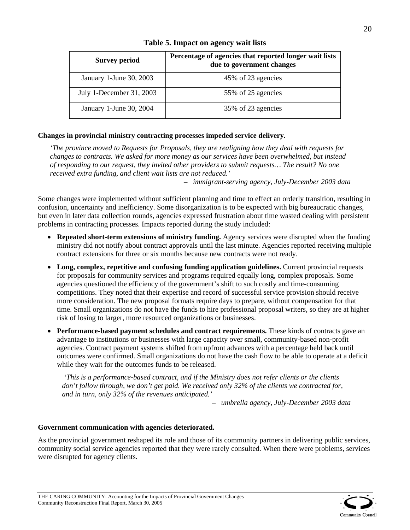| <b>Survey period</b>     | Percentage of agencies that reported longer wait lists<br>due to government changes |  |
|--------------------------|-------------------------------------------------------------------------------------|--|
| January 1-June 30, 2003  | 45% of 23 agencies                                                                  |  |
| July 1-December 31, 2003 | 55% of 25 agencies                                                                  |  |
| January 1-June 30, 2004  | 35% of 23 agencies                                                                  |  |

### **Table 5. Impact on agency wait lists**

#### **Changes in provincial ministry contracting processes impeded service delivery.**

*'The province moved to Requests for Proposals, they are realigning how they deal with requests for changes to contracts. We asked for more money as our services have been overwhelmed, but instead of responding to our request, they invited other providers to submit requests… The result? No one received extra funding, and client wait lists are not reduced.'* 

– *immigrant-serving agency, July-December 2003 data* 

Some changes were implemented without sufficient planning and time to effect an orderly transition, resulting in confusion, uncertainty and inefficiency. Some disorganization is to be expected with big bureaucratic changes, but even in later data collection rounds, agencies expressed frustration about time wasted dealing with persistent problems in contracting processes. Impacts reported during the study included:

- **Repeated short-term extensions of ministry funding.** Agency services were disrupted when the funding ministry did not notify about contract approvals until the last minute. Agencies reported receiving multiple contract extensions for three or six months because new contracts were not ready.
- **Long, complex, repetitive and confusing funding application guidelines.** Current provincial requests for proposals for community services and programs required equally long, complex proposals. Some agencies questioned the efficiency of the government's shift to such costly and time-consuming competitions. They noted that their expertise and record of successful service provision should receive more consideration. The new proposal formats require days to prepare, without compensation for that time. Small organizations do not have the funds to hire professional proposal writers, so they are at higher risk of losing to larger, more resourced organizations or businesses.
- **Performance-based payment schedules and contract requirements.** These kinds of contracts gave an advantage to institutions or businesses with large capacity over small, community-based non-profit agencies. Contract payment systems shifted from upfront advances with a percentage held back until outcomes were confirmed. Small organizations do not have the cash flow to be able to operate at a deficit while they wait for the outcomes funds to be released.

 *'This is a performance-based contract, and if the Ministry does not refer clients or the clients don't follow through, we don't get paid. We received only 32% of the clients we contracted for, and in turn, only 32% of the revenues anticipated.'* 

*– umbrella agency, July-December 2003 data* 

#### **Government communication with agencies deteriorated.**

As the provincial government reshaped its role and those of its community partners in delivering public services, community social service agencies reported that they were rarely consulted. When there were problems, services were disrupted for agency clients.

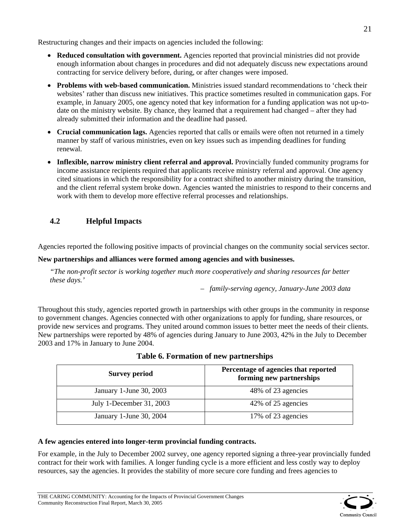Restructuring changes and their impacts on agencies included the following:

- **Reduced consultation with government.** Agencies reported that provincial ministries did not provide enough information about changes in procedures and did not adequately discuss new expectations around contracting for service delivery before, during, or after changes were imposed.
- **Problems with web-based communication.** Ministries issued standard recommendations to 'check their websites' rather than discuss new initiatives. This practice sometimes resulted in communication gaps. For example, in January 2005, one agency noted that key information for a funding application was not up-todate on the ministry website. By chance, they learned that a requirement had changed – after they had already submitted their information and the deadline had passed.
- **Crucial communication lags.** Agencies reported that calls or emails were often not returned in a timely manner by staff of various ministries, even on key issues such as impending deadlines for funding renewal.
- **Inflexible, narrow ministry client referral and approval.** Provincially funded community programs for income assistance recipients required that applicants receive ministry referral and approval. One agency cited situations in which the responsibility for a contract shifted to another ministry during the transition, and the client referral system broke down. Agencies wanted the ministries to respond to their concerns and work with them to develop more effective referral processes and relationships.

# **4.2 Helpful Impacts**

Agencies reported the following positive impacts of provincial changes on the community social services sector.

**New partnerships and alliances were formed among agencies and with businesses.** 

*"The non-profit sector is working together much more cooperatively and sharing resources far better these days.'* 

 *– family-serving agency, January-June 2003 data* 

Throughout this study, agencies reported growth in partnerships with other groups in the community in response to government changes. Agencies connected with other organizations to apply for funding, share resources, or provide new services and programs. They united around common issues to better meet the needs of their clients. New partnerships were reported by 48% of agencies during January to June 2003, 42% in the July to December 2003 and 17% in January to June 2004.

| <b>Survey period</b>     | Percentage of agencies that reported<br>forming new partnerships |  |
|--------------------------|------------------------------------------------------------------|--|
| January 1-June 30, 2003  | 48% of 23 agencies                                               |  |
| July 1-December 31, 2003 | 42% of 25 agencies                                               |  |
| January 1-June 30, 2004  | 17% of 23 agencies                                               |  |

#### **A few agencies entered into longer-term provincial funding contracts.**

For example, in the July to December 2002 survey, one agency reported signing a three-year provincially funded contract for their work with families. A longer funding cycle is a more efficient and less costly way to deploy resources, say the agencies. It provides the stability of more secure core funding and frees agencies to

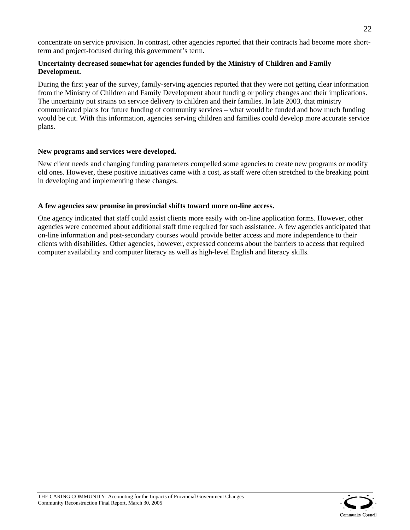concentrate on service provision. In contrast, other agencies reported that their contracts had become more shortterm and project-focused during this government's term.

#### **Uncertainty decreased somewhat for agencies funded by the Ministry of Children and Family Development.**

During the first year of the survey, family-serving agencies reported that they were not getting clear information from the Ministry of Children and Family Development about funding or policy changes and their implications. The uncertainty put strains on service delivery to children and their families. In late 2003, that ministry communicated plans for future funding of community services – what would be funded and how much funding would be cut. With this information, agencies serving children and families could develop more accurate service plans.

#### **New programs and services were developed.**

New client needs and changing funding parameters compelled some agencies to create new programs or modify old ones. However, these positive initiatives came with a cost, as staff were often stretched to the breaking point in developing and implementing these changes.

#### **A few agencies saw promise in provincial shifts toward more on-line access.**

One agency indicated that staff could assist clients more easily with on-line application forms. However, other agencies were concerned about additional staff time required for such assistance. A few agencies anticipated that on-line information and post-secondary courses would provide better access and more independence to their clients with disabilities. Other agencies, however, expressed concerns about the barriers to access that required computer availability and computer literacy as well as high-level English and literacy skills.

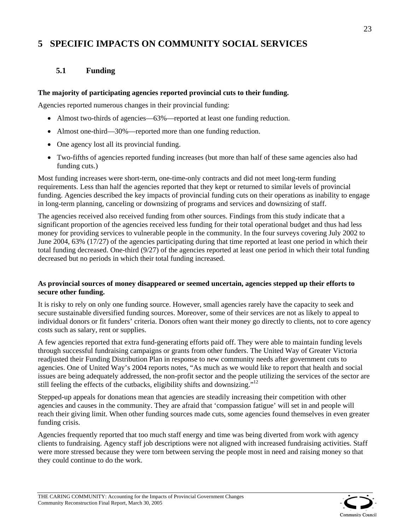# **5 SPECIFIC IMPACTS ON COMMUNITY SOCIAL SERVICES**

### **5.1 Funding**

#### **The majority of participating agencies reported provincial cuts to their funding.**

Agencies reported numerous changes in their provincial funding:

- Almost two-thirds of agencies—63%—reported at least one funding reduction.
- Almost one-third—30%—reported more than one funding reduction.
- One agency lost all its provincial funding.
- Two-fifths of agencies reported funding increases (but more than half of these same agencies also had funding cuts.)

Most funding increases were short-term, one-time-only contracts and did not meet long-term funding requirements. Less than half the agencies reported that they kept or returned to similar levels of provincial funding. Agencies described the key impacts of provincial funding cuts on their operations as inability to engage in long-term planning, canceling or downsizing of programs and services and downsizing of staff.

The agencies received also received funding from other sources. Findings from this study indicate that a significant proportion of the agencies received less funding for their total operational budget and thus had less money for providing services to vulnerable people in the community. In the four surveys covering July 2002 to June 2004, 63% (17/27) of the agencies participating during that time reported at least one period in which their total funding decreased. One-third (9/27) of the agencies reported at least one period in which their total funding decreased but no periods in which their total funding increased.

#### **As provincial sources of money disappeared or seemed uncertain, agencies stepped up their efforts to secure other funding.**

It is risky to rely on only one funding source. However, small agencies rarely have the capacity to seek and secure sustainable diversified funding sources. Moreover, some of their services are not as likely to appeal to individual donors or fit funders' criteria. Donors often want their money go directly to clients, not to core agency costs such as salary, rent or supplies.

A few agencies reported that extra fund-generating efforts paid off. They were able to maintain funding levels through successful fundraising campaigns or grants from other funders. The United Way of Greater Victoria readjusted their Funding Distribution Plan in response to new community needs after government cuts to agencies. One of United Way's 2004 reports notes, "As much as we would like to report that health and social issues are being adequately addressed, the non-profit sector and the people utilizing the services of the sector are still feeling the effects of the cutbacks, eligibility shifts and downsizing."<sup>12</sup>

Stepped-up appeals for donations mean that agencies are steadily increasing their competition with other agencies and causes in the community. They are afraid that 'compassion fatigue' will set in and people will reach their giving limit. When other funding sources made cuts, some agencies found themselves in even greater funding crisis.

Agencies frequently reported that too much staff energy and time was being diverted from work with agency clients to fundraising. Agency staff job descriptions were not aligned with increased fundraising activities. Staff were more stressed because they were torn between serving the people most in need and raising money so that they could continue to do the work.

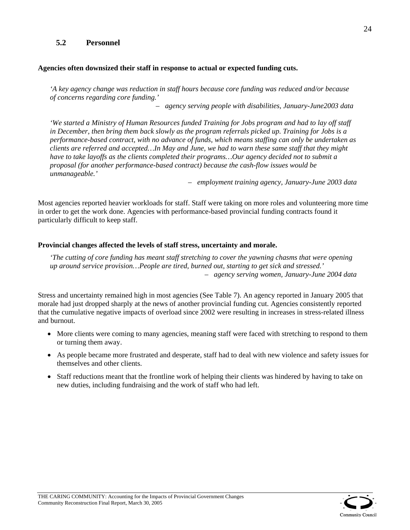### **5.2 Personnel**

#### **Agencies often downsized their staff in response to actual or expected funding cuts.**

*'A key agency change was reduction in staff hours because core funding was reduced and/or because of concerns regarding core funding.'* 

– *agency serving people with disabilities, January-June2003 data* 

*'We started a Ministry of Human Resources funded Training for Jobs program and had to lay off staff in December, then bring them back slowly as the program referrals picked up. Training for Jobs is a performance-based contract, with no advance of funds, which means staffing can only be undertaken as clients are referred and accepted…In May and June, we had to warn these same staff that they might have to take layoffs as the clients completed their programs…Our agency decided not to submit a proposal (for another performance-based contract) because the cash-flow issues would be unmanageable.'* 

 *– employment training agency, January-June 2003 data* 

Most agencies reported heavier workloads for staff. Staff were taking on more roles and volunteering more time in order to get the work done. Agencies with performance-based provincial funding contracts found it particularly difficult to keep staff.

#### **Provincial changes affected the levels of staff stress, uncertainty and morale.**

*'The cutting of core funding has meant staff stretching to cover the yawning chasms that were opening up around service provision…People are tired, burned out, starting to get sick and stressed.' – agency serving women, January-June 2004 data* 

Stress and uncertainty remained high in most agencies (See Table 7). An agency reported in January 2005 that morale had just dropped sharply at the news of another provincial funding cut. Agencies consistently reported that the cumulative negative impacts of overload since 2002 were resulting in increases in stress-related illness and burnout.

- More clients were coming to many agencies, meaning staff were faced with stretching to respond to them or turning them away.
- As people became more frustrated and desperate, staff had to deal with new violence and safety issues for themselves and other clients.
- Staff reductions meant that the frontline work of helping their clients was hindered by having to take on new duties, including fundraising and the work of staff who had left.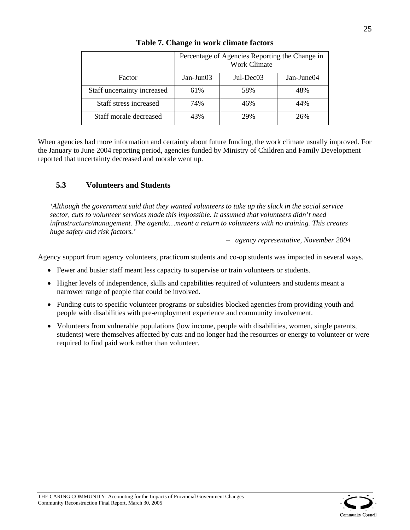|                             | Percentage of Agencies Reporting the Change in<br>Work Climate |           |            |  |
|-----------------------------|----------------------------------------------------------------|-----------|------------|--|
| Factor                      | $Jan-Jun03$                                                    | Jul-Dec03 | Jan-June04 |  |
| Staff uncertainty increased | 61%                                                            | 58%       | 48%        |  |
| Staff stress increased      | 74%                                                            | 46%       | 44%        |  |
| Staff morale decreased      | 43%                                                            | 29%       | 26%        |  |

### **Table 7. Change in work climate factors**

When agencies had more information and certainty about future funding, the work climate usually improved. For the January to June 2004 reporting period, agencies funded by Ministry of Children and Family Development reported that uncertainty decreased and morale went up.

### **5.3 Volunteers and Students**

*'Although the government said that they wanted volunteers to take up the slack in the social service sector, cuts to volunteer services made this impossible. It assumed that volunteers didn't need infrastructure/management. The agenda…meant a return to volunteers with no training. This creates huge safety and risk factors.'* 

 *– agency representative, November 2004* 

Agency support from agency volunteers, practicum students and co-op students was impacted in several ways.

- Fewer and busier staff meant less capacity to supervise or train volunteers or students.
- Higher levels of independence, skills and capabilities required of volunteers and students meant a narrower range of people that could be involved.
- Funding cuts to specific volunteer programs or subsidies blocked agencies from providing youth and people with disabilities with pre-employment experience and community involvement.
- Volunteers from vulnerable populations (low income, people with disabilities, women, single parents, students) were themselves affected by cuts and no longer had the resources or energy to volunteer or were required to find paid work rather than volunteer.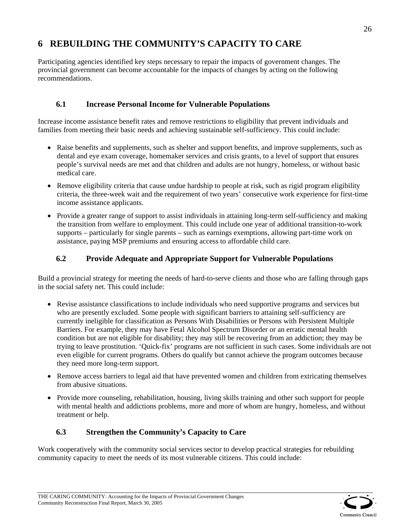# **6 REBUILDING THE COMMUNITY'S CAPACITY TO CARE**

Participating agencies identified key steps necessary to repair the impacts of government changes. The provincial government can become accountable for the impacts of changes by acting on the following recommendations.

# **6.1 Increase Personal Income for Vulnerable Populations**

Increase income assistance benefit rates and remove restrictions to eligibility that prevent individuals and families from meeting their basic needs and achieving sustainable self-sufficiency. This could include:

- Raise benefits and supplements, such as shelter and support benefits, and improve supplements, such as dental and eye exam coverage, homemaker services and crisis grants, to a level of support that ensures people's survival needs are met and that children and adults are not hungry, homeless, or without basic medical care.
- Remove eligibility criteria that cause undue hardship to people at risk, such as rigid program eligibility criteria, the three-week wait and the requirement of two years' consecutive work experience for first-time income assistance applicants.
- Provide a greater range of support to assist individuals in attaining long-term self-sufficiency and making the transition from welfare to employment. This could include one year of additional transition-to-work supports – particularly for single parents – such as earnings exemptions, allowing part-time work on assistance, paying MSP premiums and ensuring access to affordable child care.

# **6.2 Provide Adequate and Appropriate Support for Vulnerable Populations**

Build a provincial strategy for meeting the needs of hard-to-serve clients and those who are falling through gaps in the social safety net. This could include:

- Revise assistance classifications to include individuals who need supportive programs and services but who are presently excluded. Some people with significant barriers to attaining self-sufficiency are currently ineligible for classification as Persons With Disabilities or Persons with Persistent Multiple Barriers. For example, they may have Fetal Alcohol Spectrum Disorder or an erratic mental health condition but are not eligible for disability; they may still be recovering from an addiction; they may be trying to leave prostitution. 'Quick-fix' programs are not sufficient in such cases. Some individuals are not even eligible for current programs. Others do qualify but cannot achieve the program outcomes because they need more long-term support.
- Remove access barriers to legal aid that have prevented women and children from extricating themselves from abusive situations.
- Provide more counseling, rehabilitation, housing, living skills training and other such support for people with mental health and addictions problems, more and more of whom are hungry, homeless, and without treatment or help.

# **6.3 Strengthen the Community's Capacity to Care**

Work cooperatively with the community social services sector to develop practical strategies for rebuilding community capacity to meet the needs of its most vulnerable citizens. This could include: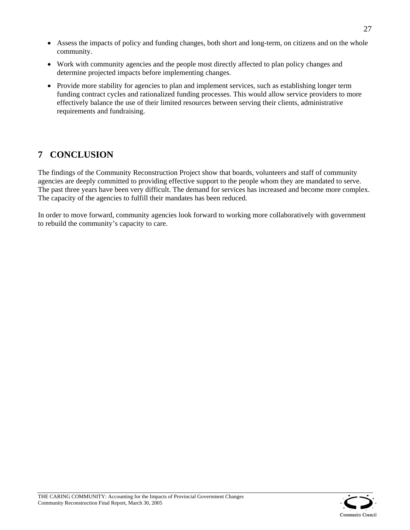- Assess the impacts of policy and funding changes, both short and long-term, on citizens and on the whole community.
- Work with community agencies and the people most directly affected to plan policy changes and determine projected impacts before implementing changes.
- Provide more stability for agencies to plan and implement services, such as establishing longer term funding contract cycles and rationalized funding processes. This would allow service providers to more effectively balance the use of their limited resources between serving their clients, administrative requirements and fundraising.

# **7 CONCLUSION**

The findings of the Community Reconstruction Project show that boards, volunteers and staff of community agencies are deeply committed to providing effective support to the people whom they are mandated to serve. The past three years have been very difficult. The demand for services has increased and become more complex. The capacity of the agencies to fulfill their mandates has been reduced.

In order to move forward, community agencies look forward to working more collaboratively with government to rebuild the community's capacity to care.

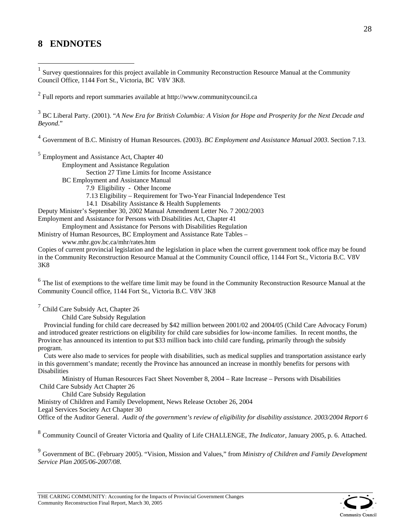# **8 ENDNOTES**

 $\overline{a}$ 

 $<sup>1</sup>$  Survey questionnaires for this project available in Community Reconstruction Resource Manual at the Community</sup> Council Office, 1144 Fort St., Victoria, BC V8V 3K8.

 $^{2}$  Full reports and report summaries available at http://www.communitycouncil.ca

<sup>3</sup> BC Liberal Party. (2001). "*A New Era for British Columbia: A Vision for Hope and Prosperity for the Next Decade and Beyond*."

<sup>4</sup> Government of B.C. Ministry of Human Resources. (2003). *BC Employment and Assistance Manual 2003*. Section 7.13.

 $<sup>5</sup>$  Employment and Assistance Act, Chapter 40</sup>

Employment and Assistance Regulation

Section 27 Time Limits for Income Assistance

BC Employment and Assistance Manual

7.9 Eligibility - Other Income

7.13 Eligibility – Requirement for Two-Year Financial Independence Test

14.1 Disability Assistance & Health Supplements

Deputy Minister's September 30, 2002 Manual Amendment Letter No. 7 2002/2003

Employment and Assistance for Persons with Disabilities Act, Chapter 41

Employment and Assistance for Persons with Disabilities Regulation

Ministry of Human Resources, BC Employment and Assistance Rate Tables –

www.mhr.gov.bc.ca/mhr/rates.htm

Copies of current provincial legislation and the legislation in place when the current government took office may be found in the Community Reconstruction Resource Manual at the Community Council office, 1144 Fort St., Victoria B.C. V8V 3K8

<sup>6</sup> The list of exemptions to the welfare time limit may be found in the Community Reconstruction Resource Manual at the Community Council office, 1144 Fort St., Victoria B.C. V8V 3K8

<sup>7</sup> Child Care Subsidy Act, Chapter 26

Child Care Subsidy Regulation

Provincial funding for child care decreased by \$42 million between 2001/02 and 2004/05 (Child Care Advocacy Forum) and introduced greater restrictions on eligibility for child care subsidies for low-income families. In recent months, the Province has announced its intention to put \$33 million back into child care funding, primarily through the subsidy program.

Cuts were also made to services for people with disabilities, such as medical supplies and transportation assistance early in this government's mandate; recently the Province has announced an increase in monthly benefits for persons with Disabilities

Ministry of Human Resources Fact Sheet November 8, 2004 – Rate Increase – Persons with Disabilities Child Care Subsidy Act Chapter 26

Child Care Subsidy Regulation

Ministry of Children and Family Development, News Release October 26, 2004

Legal Services Society Act Chapter 30

Office of the Auditor General. *Audit of the government's review of eligibility for disability assistance. 2003/2004 Report 6* 

<sup>8</sup> Community Council of Greater Victoria and Quality of Life CHALLENGE, *The Indicator*, January 2005, p. 6. Attached.

<sup>9</sup> Government of BC. (February 2005). "Vision, Mission and Values," from *Ministry of Children and Family Development Service Plan 2005/06-2007/08*.